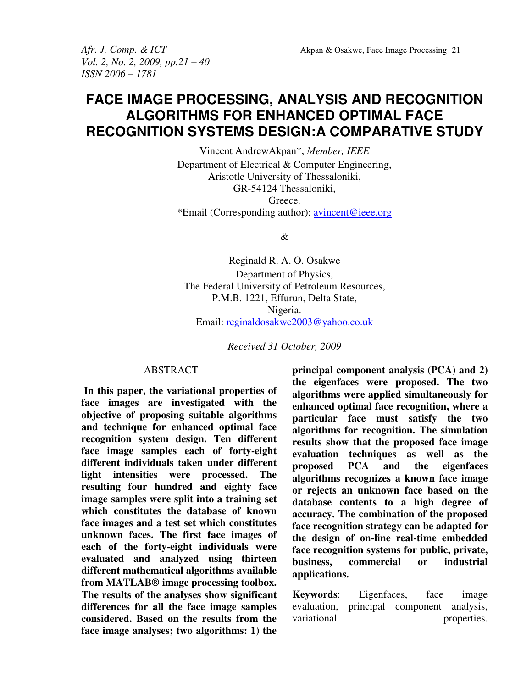*Vol. 2, No. 2, 2009, pp.21 – 40 ISSN 2006 – 1781* 

*Afr. J. Comp. & ICT* Akpan & Osakwe, Face Image Processing 21

# **FACE IMAGE PROCESSING, ANALYSIS AND RECOGNITION ALGORITHMS FOR ENHANCED OPTIMAL FACE RECOGNITION SYSTEMS DESIGN:A COMPARATIVE STUDY**

Vincent AndrewAkpan\*, *Member, IEEE* Department of Electrical & Computer Engineering, Aristotle University of Thessaloniki, GR-54124 Thessaloniki, Greece. \*Email (Corresponding author): avincent@ieee.org

 $\mathcal{R}_{\mathcal{L}}$ 

Reginald R. A. O. Osakwe Department of Physics, The Federal University of Petroleum Resources, P.M.B. 1221, Effurun, Delta State, Nigeria. Email: reginaldosakwe2003@yahoo.co.uk

*Received 31 October, 2009*

## **ABSTRACT**

 **In this paper, the variational properties of face images are investigated with the objective of proposing suitable algorithms and technique for enhanced optimal face recognition system design. Ten different face image samples each of forty-eight different individuals taken under different light intensities were processed. The resulting four hundred and eighty face image samples were split into a training set which constitutes the database of known face images and a test set which constitutes unknown faces. The first face images of each of the forty-eight individuals were evaluated and analyzed using thirteen different mathematical algorithms available from MATLAB® image processing toolbox. The results of the analyses show significant differences for all the face image samples considered. Based on the results from the face image analyses; two algorithms: 1) the** 

**principal component analysis (PCA) and 2) the eigenfaces were proposed. The two algorithms were applied simultaneously for enhanced optimal face recognition, where a particular face must satisfy the two algorithms for recognition. The simulation results show that the proposed face image evaluation techniques as well as the proposed PCA and the eigenfaces algorithms recognizes a known face image or rejects an unknown face based on the database contents to a high degree of accuracy. The combination of the proposed face recognition strategy can be adapted for the design of on-line real-time embedded face recognition systems for public, private, business, commercial or industrial applications.** 

**Keywords**: Eigenfaces, face image evaluation, principal component analysis, variational properties.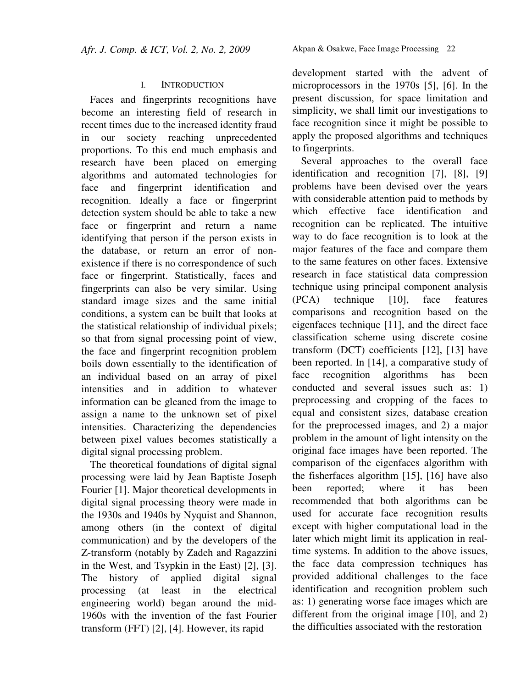## I. INTRODUCTION

Faces and fingerprints recognitions have become an interesting field of research in recent times due to the increased identity fraud in our society reaching unprecedented proportions. To this end much emphasis and research have been placed on emerging algorithms and automated technologies for face and fingerprint identification and recognition. Ideally a face or fingerprint detection system should be able to take a new face or fingerprint and return a name identifying that person if the person exists in the database, or return an error of nonexistence if there is no correspondence of such face or fingerprint. Statistically, faces and fingerprints can also be very similar. Using standard image sizes and the same initial conditions, a system can be built that looks at the statistical relationship of individual pixels; so that from signal processing point of view, the face and fingerprint recognition problem boils down essentially to the identification of an individual based on an array of pixel intensities and in addition to whatever information can be gleaned from the image to assign a name to the unknown set of pixel intensities. Characterizing the dependencies between pixel values becomes statistically a digital signal processing problem.

The theoretical foundations of digital signal processing were laid by Jean Baptiste Joseph Fourier [1]. Major theoretical developments in digital signal processing theory were made in the 1930s and 1940s by Nyquist and Shannon, among others (in the context of digital communication) and by the developers of the Z-transform (notably by Zadeh and Ragazzini in the West, and Tsypkin in the East) [2], [3]. The history of applied digital signal processing (at least in the electrical engineering world) began around the mid-1960s with the invention of the fast Fourier transform (FFT) [2], [4]. However, its rapid

development started with the advent of microprocessors in the 1970s [5], [6]. In the present discussion, for space limitation and simplicity, we shall limit our investigations to face recognition since it might be possible to apply the proposed algorithms and techniques to fingerprints.

Several approaches to the overall face identification and recognition [7], [8], [9] problems have been devised over the years with considerable attention paid to methods by which effective face identification and recognition can be replicated. The intuitive way to do face recognition is to look at the major features of the face and compare them to the same features on other faces. Extensive research in face statistical data compression technique using principal component analysis (PCA) technique [10], face features comparisons and recognition based on the eigenfaces technique [11], and the direct face classification scheme using discrete cosine transform (DCT) coefficients [12], [13] have been reported. In [14], a comparative study of face recognition algorithms has been conducted and several issues such as: 1) preprocessing and cropping of the faces to equal and consistent sizes, database creation for the preprocessed images, and 2) a major problem in the amount of light intensity on the original face images have been reported. The comparison of the eigenfaces algorithm with the fisherfaces algorithm [15], [16] have also been reported; where it has been recommended that both algorithms can be used for accurate face recognition results except with higher computational load in the later which might limit its application in realtime systems. In addition to the above issues, the face data compression techniques has provided additional challenges to the face identification and recognition problem such as: 1) generating worse face images which are different from the original image [10], and 2) the difficulties associated with the restoration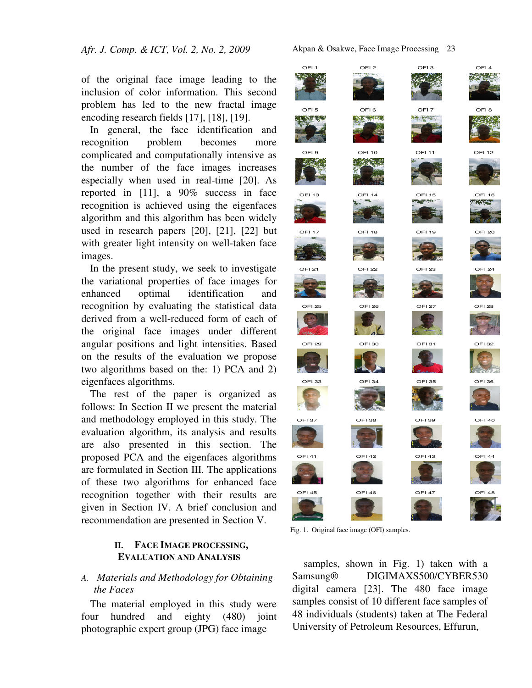of the original face image leading to the inclusion of color information. This second problem has led to the new fractal image encoding research fields [17], [18], [19].

In general, the face identification and recognition problem becomes more complicated and computationally intensive as the number of the face images increases especially when used in real-time [20]. As reported in [11], a 90% success in face recognition is achieved using the eigenfaces algorithm and this algorithm has been widely used in research papers [20], [21], [22] but with greater light intensity on well-taken face images.

In the present study, we seek to investigate the variational properties of face images for enhanced optimal identification and recognition by evaluating the statistical data derived from a well-reduced form of each of the original face images under different angular positions and light intensities. Based on the results of the evaluation we propose two algorithms based on the: 1) PCA and 2) eigenfaces algorithms.

The rest of the paper is organized as follows: In Section II we present the material and methodology employed in this study. The evaluation algorithm, its analysis and results are also presented in this section. The proposed PCA and the eigenfaces algorithms are formulated in Section III. The applications of these two algorithms for enhanced face recognition together with their results are given in Section IV. A brief conclusion and recommendation are presented in Section V.

# **II. FACE IMAGE PROCESSING, EVALUATION AND ANALYSIS**

# *A. Materials and Methodology for Obtaining the Faces*

The material employed in this study were four hundred and eighty (480) joint photographic expert group (JPG) face image

Akpan & Osakwe, Face Image Processing23



Fig. 1. Original face image (OFI) samples.

 samples, shown in Fig. 1) taken with a Samsung® DIGIMAXS500/CYBER530 digital camera [23]. The 480 face image samples consist of 10 different face samples of 48 individuals (students) taken at The Federal University of Petroleum Resources, Effurun,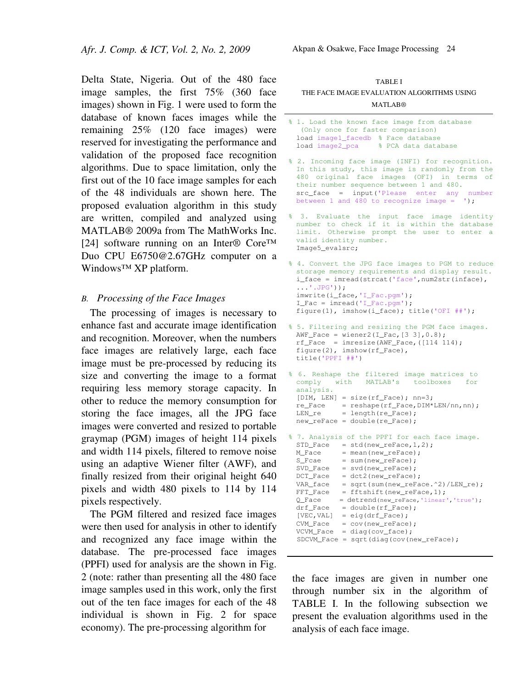Delta State, Nigeria. Out of the 480 face image samples, the first 75% (360 face images) shown in Fig. 1 were used to form the database of known faces images while the remaining 25% (120 face images) were reserved for investigating the performance and validation of the proposed face recognition algorithms. Due to space limitation, only the first out of the 10 face image samples for each of the 48 individuals are shown here. The proposed evaluation algorithm in this study are written, compiled and analyzed using MATLAB® 2009a from The MathWorks Inc. [24] software running on an Inter® Core™ Duo CPU E6750@2.67GHz computer on a Windows™ XP platform.

#### *B. Processing of the Face Images*

The processing of images is necessary to enhance fast and accurate image identification and recognition. Moreover, when the numbers face images are relatively large, each face image must be pre-processed by reducing its size and converting the image to a format requiring less memory storage capacity. In other to reduce the memory consumption for storing the face images, all the JPG face images were converted and resized to portable graymap (PGM) images of height 114 pixels and width 114 pixels, filtered to remove noise using an adaptive Wiener filter (AWF), and finally resized from their original height 640 pixels and width 480 pixels to 114 by 114 pixels respectively.

The PGM filtered and resized face images were then used for analysis in other to identify and recognized any face image within the database. The pre-processed face images (PPFI) used for analysis are the shown in Fig. 2 (note: rather than presenting all the 480 face image samples used in this work, only the first out of the ten face images for each of the 48 individual is shown in Fig. 2 for space economy). The pre-processing algorithm for

| <b>TABLE I</b>                             |
|--------------------------------------------|
| THE FACE IMAGE EVALUATION ALGORITHMS USING |
| <b>MATLAR®</b>                             |

```
% 1. Load the known face image from database 
  (Only once for faster comparison)
 load image1_facedb % Face database
 load image2_pca % PCA data database
```

```
% 2. Incoming face image (INFI) for recognition. 
 In this study, this image is randomly from the 
 480 original face images (OFI) in terms of 
 their number sequence between 1 and 480. 
 src face = input('Please enter any number
 between 1 and 480 to recognize image = ');
```
% 3. Evaluate the input face image identity number to check if it is within the database limit. Otherwise prompt the user to enter a valid identity number. Image5\_evalsrc;

```
% 4. Convert the JPG face images to PGM to reduce 
 storage memory requirements and display result.
 i_face = imread(strcat('face',num2str(inface), 
 \ldots'.JPG'));
 imwrite(i_face,'I_Fac.pgm'); 
 I Fac = imread('I Fac.pgm');
 figure(1), imshow(i_face); title('OFI ##');
```

```
% 5. Filtering and resizing the PGM face images.
  AWF_Face = \text{wiener2}(I_Fac, [3 3], 0.8);rf Face = imresize(AWF_Face,([114 114);
 figure(2), imshow(rf_Face), 
 title('PPFI ##')
```

```
% 6. Reshape the filtered image matrices to 
 comply with MATLAB's toolboxes for 
 analysis. 
 [DIM, LEN] = size(rf_Face); nn=3;re\_Face = reshape(rf\_Face, DIM*LEN/nn,nn);LEN_re = length(re_Face);new_reFace = double(re_Face);
```
% 7. Analysis of the PPFI for each face image.  $STD_Face = std(new_TeFace, 1, 2);$  $M_Face$  = mean(new\_reFace);  $S_F$ cae = sum(new\_reFace);<br>SVD\_Face = svd(new\_reFace);

```
= svd(new_reFace);
DCT_Face = dct2(new_reFace); 
VAR_face = sqrt(sum(new_reFace.^2)/LEN_re);FFT_Face = fftshift(new_reFace,1); 
Q_Face = detrend(new_reFace,'linear','true');
drf_Face = double(rf_Face);[VEC, VAL] = eig(drf\_Face);CVM_Face = cov(new_reFace); 
VCVM_Face = diag(cov_face); 
 SDCVM_Face = sqrt(diag(cov(new_reFace);
```
the face images are given in number one through number six in the algorithm of TABLE I. In the following subsection we present the evaluation algorithms used in the analysis of each face image.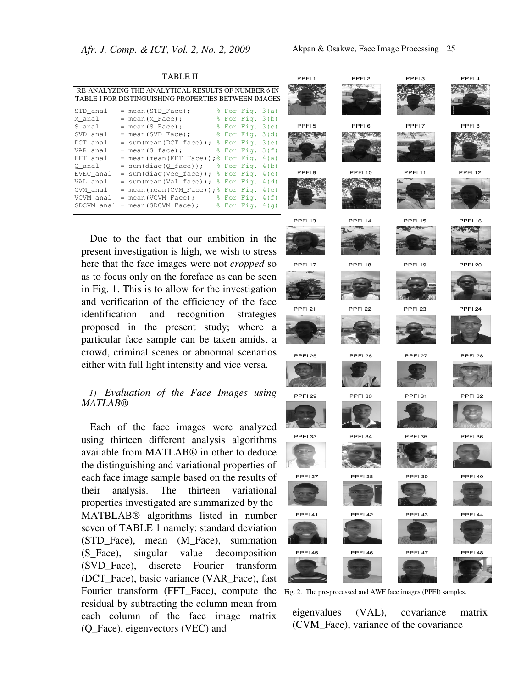|            | RE-ANALYZING THE ANALYTICAL RESULTS OF NUMBER 6 IN   |  |                             |         |
|------------|------------------------------------------------------|--|-----------------------------|---------|
|            | TABLE I FOR DISTINGUISHING PROPERTIES BETWEEN IMAGES |  |                             |         |
| STD_anal   | = mean(STD_Face);                                    |  | $\frac{1}{2}$ For Fig. 3(a) |         |
| M_anal     | $=$ mean (M_Face);                                   |  | % For Fig. 3(b)             |         |
| S anal     | $=$ mean (S Face);                                   |  | % For Fig. 3(c)             |         |
| SVD_anal   | $=$ mean (SVD Face);                                 |  | % For Fig.                  | 3(d)    |
| DCT anal   | $= sum(mean(DCT face))$ ;                            |  | % For Fig.                  | 3(e)    |
| VAR anal   | $=$ mean (S face);                                   |  | % For Fig.                  | 3(f)    |
| FFT anal   | $=$ mean (mean (FFT Face));                          |  | % For Fig.                  | 4 (a)   |
| O anal     | $= sum(diag(Q_face));$                               |  | % For Fig.                  | 4(b)    |
| EVEC_anal  | $= sum(diag(Vec_face));$                             |  | % For Fig.                  | 4(c)    |
| VAL_anal   | = sum(mean(Val_face));                               |  | % For Fig.                  | 4(d)    |
| CVM anal   | $=$ mean (mean (CVM Face)); $\frac{1}{6}$ For Fig.   |  |                             | 4(e)    |
| VCVM anal  | $=$ mean (VCVM Face) ;                               |  | % For Fig.                  | 4 (f)   |
| SDCVM anal | $=$ mean (SDCVM Face);                               |  | % For Fig.                  | 4 ( α ) |

TABLE II

Due to the fact that our ambition in the present investigation is high, we wish to stress here that the face images were not *cropped* so as to focus only on the foreface as can be seen in Fig. 1. This is to allow for the investigation and verification of the efficiency of the face identification and recognition strategies proposed in the present study; where a particular face sample can be taken amidst a crowd, criminal scenes or abnormal scenarios either with full light intensity and vice versa.

## *1) Evaluation of the Face Images using MATLAB®*

Fourier transform (FFT\_Face), compute the Fig. 2. The pre-processed and AWF face images (PPFI) samples. Each of the face images were analyzed using thirteen different analysis algorithms available from MATLAB® in other to deduce the distinguishing and variational properties of each face image sample based on the results of their analysis. The thirteen variational properties investigated are summarized by the MATBLAB® algorithms listed in number seven of TABLE 1 namely: standard deviation (STD Face), mean (M Face), summation (S\_Face), singular value decomposition (SVD\_Face), discrete Fourier transform (DCT\_Face), basic variance (VAR\_Face), fast residual by subtracting the column mean from each column of the face image matrix (Q\_Face), eigenvectors (VEC) and



eigenvalues (VAL), covariance matrix (CVM\_Face), variance of the covariance







الموسيق















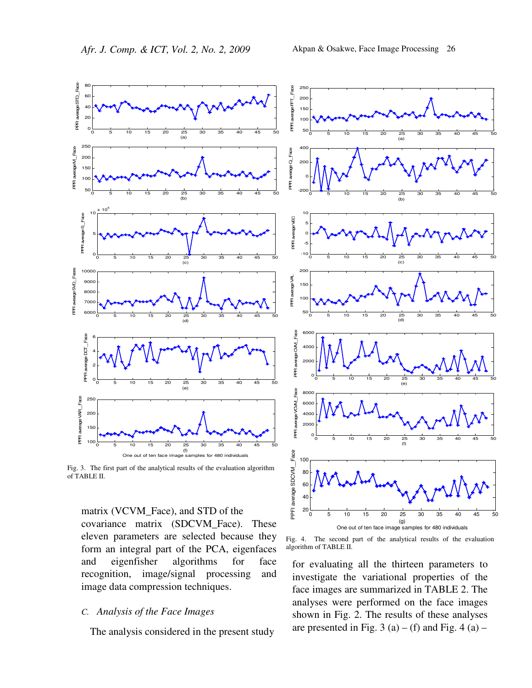

Fig. 3. The first part of the analytical results of the evaluation algorithm of TABLE II.

matrix (VCVM\_Face), and STD of the covariance matrix (SDCVM\_Face). These eleven parameters are selected because they form an integral part of the PCA, eigenfaces and eigenfisher algorithms for face recognition, image/signal processing and image data compression techniques.

## *C. Analysis of the Face Images*

The analysis considered in the present study



Fig. 4. The second part of the analytical results of the evaluation algorithm of TABLE II.

for evaluating all the thirteen parameters to investigate the variational properties of the face images are summarized in TABLE 2. The analyses were performed on the face images shown in Fig. 2. The results of these analyses are presented in Fig. 3 (a) – (f) and Fig. 4 (a) –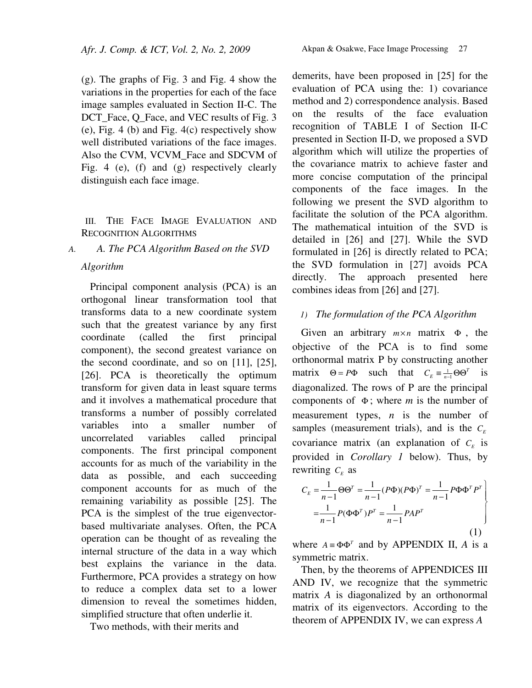(g). The graphs of Fig. 3 and Fig. 4 show the variations in the properties for each of the face image samples evaluated in Section II-C. The DCT\_Face, Q\_Face, and VEC results of Fig. 3 (e), Fig. 4 (b) and Fig. 4(c) respectively show well distributed variations of the face images. Also the CVM, VCVM\_Face and SDCVM of Fig. 4 (e), (f) and (g) respectively clearly distinguish each face image.

# III. THE FACE IMAGE EVALUATION AND RECOGNITION ALGORITHMS

# *A. A. The PCA Algorithm Based on the SVD Algorithm*

Principal component analysis (PCA) is an orthogonal linear transformation tool that transforms data to a new coordinate system such that the greatest variance by any first coordinate (called the first principal component), the second greatest variance on the second coordinate, and so on [11], [25], [26]. PCA is theoretically the optimum transform for given data in least square terms and it involves a mathematical procedure that transforms a number of possibly correlated variables into a smaller number of uncorrelated variables called principal components. The first principal component accounts for as much of the variability in the data as possible, and each succeeding component accounts for as much of the remaining variability as possible [25]. The PCA is the simplest of the true eigenvectorbased multivariate analyses. Often, the PCA operation can be thought of as revealing the internal structure of the data in a way which best explains the variance in the data. Furthermore, PCA provides a strategy on how to reduce a complex data set to a lower dimension to reveal the sometimes hidden, simplified structure that often underlie it.

Two methods, with their merits and

demerits, have been proposed in [25] for the evaluation of PCA using the: 1) covariance method and 2) correspondence analysis. Based on the results of the face evaluation recognition of TABLE I of Section II-C presented in Section II-D, we proposed a SVD algorithm which will utilize the properties of the covariance matrix to achieve faster and more concise computation of the principal components of the face images. In the following we present the SVD algorithm to facilitate the solution of the PCA algorithm. The mathematical intuition of the SVD is detailed in [26] and [27]. While the SVD formulated in [26] is directly related to PCA; the SVD formulation in [27] avoids PCA directly. The approach presented here combines ideas from [26] and [27].

# *1) The formulation of the PCA Algorithm*

Given an arbitrary  $m \times n$  matrix  $\Phi$ , the objective of the PCA is to find some orthonormal matrix P by constructing another matrix  $\Theta = P\Phi$  such that  $C_E = \frac{1}{n-1}\Theta\Theta^T$  is diagonalized. The rows of P are the principal components of Φ ; where *m* is the number of measurement types, *n* is the number of samples (measurement trials), and is the  $C_E$ covariance matrix (an explanation of  $C_E$  is provided in *Corollary 1* below). Thus, by rewriting  $C_E$  as

$$
C_E = \frac{1}{n-1} \Theta \Theta^T = \frac{1}{n-1} (P\Phi)(P\Phi)^T = \frac{1}{n-1} P\Phi \Phi^T P^T
$$

$$
= \frac{1}{n-1} P(\Phi \Phi^T) P^T = \frac{1}{n-1} PAP^T
$$
(1)

where  $A = \Phi \Phi^{T}$  and by APPENDIX II, *A* is a symmetric matrix.

Then, by the theorems of APPENDICES III AND IV, we recognize that the symmetric matrix *A* is diagonalized by an orthonormal matrix of its eigenvectors. According to the theorem of APPENDIX IV, we can express *A*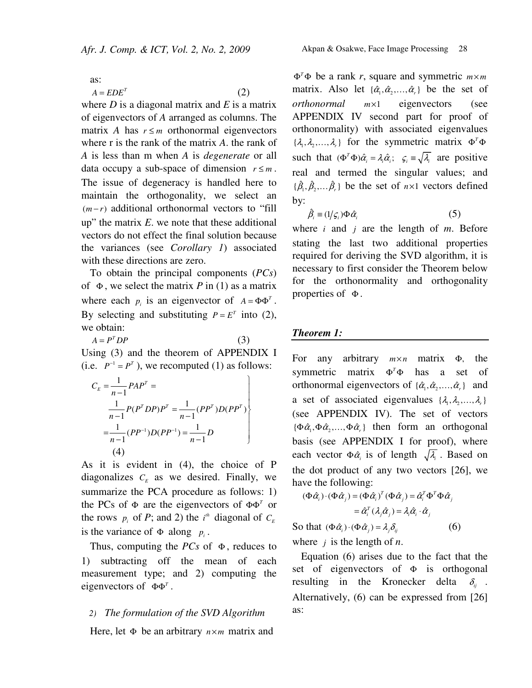as:

$$
A = EDE^{T}
$$
 (2)

where  $D$  is a diagonal matrix and  $E$  is a matrix of eigenvectors of *A* arranged as columns. The matrix *A* has  $r \leq m$  orthonormal eigenvectors where r is the rank of the matrix *A*. the rank of *A* is less than m when *A* is *degenerate* or all data occupy a sub-space of dimension  $r \leq m$ . The issue of degeneracy is handled here to maintain the orthogonality, we select an  $(m-r)$  additional orthonormal vectors to "fill" up" the matrix *E*. we note that these additional vectors do not effect the final solution because the variances (see *Corollary 1*) associated with these directions are zero.

To obtain the principal components (*PCs*) of  $\Phi$ , we select the matrix *P* in (1) as a matrix where each  $p_i$  is an eigenvector of  $A = \Phi \Phi^T$ . By selecting and substituting  $P = E^T$  into (2), we obtain:

 $A = P<sup>T</sup> DP$  (3) Using (3) and the theorem of APPENDIX I (i.e.  $P^{-1} = P^{T}$ ), we recomputed (1) as follows:

$$
C_E = \frac{1}{n-1} PAP^T = \frac{1}{n-1} P(P^T D P) P^T = \frac{1}{n-1} (PP^T) D (PP^T)
$$
  
=  $\frac{1}{n-1} (PP^{-1}) D (PP^{-1}) = \frac{1}{n-1} D$   
(4)

As it is evident in (4), the choice of P diagonalizes  $C_E$  as we desired. Finally, we summarize the PCA procedure as follows: 1) the PCs of  $\Phi$  are the eigenvectors of  $\Phi \Phi^T$  or the rows  $p_i$  of *P*; and 2) the  $i^h$  diagonal of  $C_E$ is the variance of  $\Phi$  along  $p_i$ .

Thus, computing the  $PCs$  of  $\Phi$ , reduces to 1) subtracting off the mean of each measurement type; and 2) computing the eigenvectors of  $\Phi \Phi^T$ .

#### *2) The formulation of the SVD Algorithm*

Here, let Φ be an arbitrary  $n \times m$  matrix and

 $\Phi^T \Phi$  be a rank *r*, square and symmetric  $m \times m$ matrix. Also let  $\{\hat{\alpha}_1, \hat{\alpha}_2, ..., \hat{\alpha}_r\}$  be the set of *orthonormal m*×1 eigenvectors (see APPENDIX IV second part for proof of orthonormality) with associated eigenvalues  $\{\lambda_1, \lambda_2, ..., \lambda_r\}$  for the symmetric matrix  $\Phi^T \Phi$ such that  $(\Phi^T \Phi) \hat{\alpha}_i = \lambda_i \hat{\alpha}_i$ ;  $\varsigma_i = \sqrt{\lambda_i}$  are positive real and termed the singular values; and  $\{\hat{\beta}_1, \hat{\beta}_2, \dots, \hat{\beta}_r\}$  be the set of  $n \times 1$  vectors defined by:

$$
\hat{\beta}_i = (1/\varsigma_i) \Phi \hat{\alpha}_i \tag{5}
$$

where *i* and *j* are the length of *m*. Before stating the last two additional properties required for deriving the SVD algorithm, it is necessary to first consider the Theorem below for the orthonormality and orthogonality properties of  $\Phi$ .

#### *Theorem 1:*

For any arbitrary  $m \times n$  matrix Φ, the symmetric matrix  $\Phi^T \Phi$  has a set of orthonormal eigenvectors of  $\{\hat{\alpha}_1, \hat{\alpha}_2, \dots, \hat{\alpha}_r\}$  and a set of associated eigenvalues  $\{\lambda_1, \lambda_2, ..., \lambda_k\}$ (see APPENDIX IV). The set of vectors  $\{\Phi \hat{\alpha}_1, \Phi \hat{\alpha}_2, \dots, \Phi \hat{\alpha}_r\}$  then form an orthogonal basis (see APPENDIX I for proof), where each vector  $\Phi \hat{\alpha}_i$  is of length  $\sqrt{\lambda_i}$ . Based on the dot product of any two vectors [26], we have the following:

$$
(\Phi \hat{\alpha}_i) \cdot (\Phi \hat{\alpha}_j) = (\Phi \hat{\alpha}_i)^T (\Phi \hat{\alpha}_j) = \hat{\alpha}_i^T \Phi^T \Phi \hat{\alpha}_j
$$
  
=  $\hat{\alpha}_i^T (\lambda_j \hat{\alpha}_j) = \lambda_i \hat{\alpha}_i \cdot \hat{\alpha}_j$ 

So that  $(\Phi \hat{\alpha}_i) \cdot (\Phi \hat{\alpha}_i) = \lambda_i \delta_i$  (6)

where *j* is the length of *n*.

Equation (6) arises due to the fact that the set of eigenvectors of  $\Phi$  is orthogonal resulting in the Kronecker delta  $\delta_{ii}$ . Alternatively, (6) can be expressed from [26] as: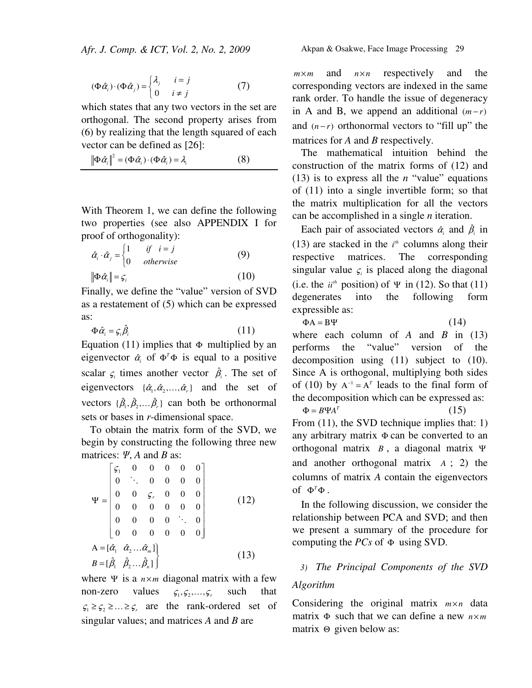$$
(\Phi \hat{\alpha}_i) \cdot (\Phi \hat{\alpha}_j) = \begin{cases} \lambda_j & i = j \\ 0 & i \neq j \end{cases}
$$
 (7)

which states that any two vectors in the set are orthogonal. The second property arises from (6) by realizing that the length squared of each vector can be defined as [26]:

$$
\left\|\Phi\hat{\alpha}_i\right\|^2 = (\Phi\hat{\alpha}_i) \cdot (\Phi\hat{\alpha}_i) = \lambda_i \tag{8}
$$

With Theorem 1, we can define the following two properties (see also APPENDIX I for proof of orthogonality):

$$
\hat{\alpha}_i \cdot \hat{\alpha}_j = \begin{cases} 1 & \text{if } i = j \\ 0 & \text{otherwise} \end{cases} \tag{9}
$$

$$
\|\Phi \hat{\alpha}_i\| = \varsigma_i \tag{10}
$$

Finally, we define the "value" version of SVD as a restatement of (5) which can be expressed as:

$$
\Phi \hat{\alpha}_i = \varsigma_i \hat{\beta}_i \tag{11}
$$

Equation (11) implies that  $\Phi$  multiplied by an eigenvector  $\hat{\alpha}_i$  of  $\Phi^T \Phi$  is equal to a positive scalar  $\zeta_i$  times another vector  $\hat{\beta}_i$ . The set of eigenvectors  $\{\hat{\alpha}_1, \hat{\alpha}_2, ..., \hat{\alpha}_r\}$  and the set of vectors  $\{\hat{\beta}_1, \hat{\beta}_2, \dots, \hat{\beta}_r\}$  can both be orthonormal sets or bases in *r*-dimensional space.

To obtain the matrix form of the SVD, we begin by constructing the following three new matrices: Ψ, *A* and *B* as:

$$
\Psi = \begin{bmatrix} \xi_1 & 0 & 0 & 0 & 0 & 0 \\ 0 & \ddots & 0 & 0 & 0 & 0 \\ 0 & 0 & \xi_r & 0 & 0 & 0 \\ 0 & 0 & 0 & 0 & 0 & 0 \\ 0 & 0 & 0 & 0 & \ddots & 0 \\ 0 & 0 & 0 & 0 & 0 & 0 \end{bmatrix}
$$
(12)  
\n
$$
A = [\hat{\alpha}_1 \ \hat{\alpha}_2 ... \hat{\alpha}_m] \Bigg\}
$$
(13)

where  $\Psi$  is a  $n \times m$  diagonal matrix with a few non-zero values  $\zeta_1, \zeta_2, ..., \zeta_r$  such that  $\varsigma_1 \geq \varsigma_2 \geq \ldots \geq \varsigma_r$  are the rank-ordered set of singular values; and matrices *A* and *B* are

 $m \times m$  and  $n \times n$  respectively and the corresponding vectors are indexed in the same rank order. To handle the issue of degeneracy in A and B, we append an additional  $(m-r)$ and  $(n-r)$  orthonormal vectors to "fill up" the matrices for *A* and *B* respectively.

The mathematical intuition behind the construction of the matrix forms of (12) and (13) is to express all the  $n$  "value" equations of (11) into a single invertible form; so that the matrix multiplication for all the vectors can be accomplished in a single *n* iteration.

Each pair of associated vectors  $\hat{\alpha}_i$  and  $\hat{\beta}_i$  in (13) are stacked in the  $i<sup>th</sup>$  columns along their respective matrices. The corresponding singular value  $\zeta$  is placed along the diagonal (i.e. the  $i^{th}$  position) of  $\Psi$  in (12). So that (11) degenerates into the following form expressible as:

 $\Phi A = B\Psi$  (14)

where each column of  $A$  and  $B$  in (13) performs the "value" version of the decomposition using (11) subject to (10). Since A is orthogonal, multiplying both sides of (10) by  $A^{-1} = A^{T}$  leads to the final form of the decomposition which can be expressed as:  $\Phi = B \Psi A^T$  (15)

From (11), the SVD technique implies that: 1) any arbitrary matrix Φ can be converted to an orthogonal matrix *B* , a diagonal matrix Ψ and another orthogonal matrix *A* ; 2) the columns of matrix *A* contain the eigenvectors of  $\Phi^T \Phi$ .

In the following discussion, we consider the relationship between PCA and SVD; and then we present a summary of the procedure for computing the  $PCs$  of  $\Phi$  using SVD.

## *3) The Principal Components of the SVD*

## *Algorithm*

Considering the original matrix  $m \times n$  data matrix  $\Phi$  such that we can define a new  $n \times m$ matrix Θ given below as: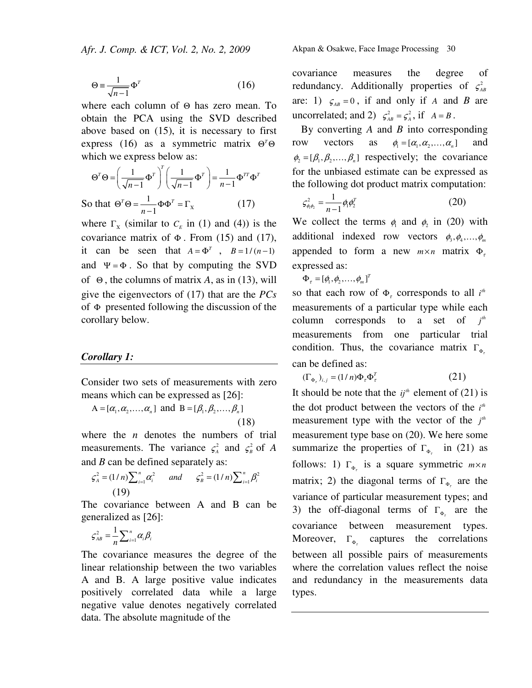$$
\Theta \equiv \frac{1}{\sqrt{n-1}} \Phi^T \tag{16}
$$

where each column of Θ has zero mean. To obtain the PCA using the SVD described above based on (15), it is necessary to first express (16) as a symmetric matrix  $\Theta^T \Theta$ which we express below as:

$$
\Theta^T \Theta = \left(\frac{1}{\sqrt{n-1}} \Phi^T\right)^T \left(\frac{1}{\sqrt{n-1}} \Phi^T\right) = \frac{1}{n-1} \Phi^{TT} \Phi^T
$$
  
So that  $\Theta^T \Theta = \frac{1}{n-1} \Phi \Phi^T = \Gamma_x$  (17)

where  $\Gamma_X$  (similar to  $C_E$  in (1) and (4)) is the covariance matrix of  $\Phi$ . From (15) and (17), it can be seen that  $A = \Phi^T$ ,  $B = 1/(n-1)$ and  $\Psi = \Phi$ . So that by computing the SVD of Θ , the columns of matrix *A*, as in (13), will give the eigenvectors of (17) that are the *PCs* of Φ presented following the discussion of the corollary below.

#### *Corollary 1:*

Consider two sets of measurements with zero means which can be expressed as [26]:

 $A = [\alpha_1, \alpha_2, \dots, \alpha_n]$  and  $B = [\beta_1, \beta_2, \dots, \beta_n]$ (18)

where the *n* denotes the numbers of trial measurements. The variance  $\zeta_A^2$  and  $\zeta_B^2$  of *A* and *B* can be defined separately as:

$$
\varsigma_A^2 = (1/n) \sum_{i=1}^n \alpha_i^2 \qquad and \qquad \varsigma_B^2 = (1/n) \sum_{i=1}^n \beta_i^2
$$
  
(19)

The covariance between A and B can be generalized as [26]:

$$
\varsigma^2_{AB} = \frac{1}{n} \sum_{i=1}^n \alpha_i \beta_i
$$

The covariance measures the degree of the linear relationship between the two variables A and B. A large positive value indicates positively correlated data while a large negative value denotes negatively correlated data. The absolute magnitude of the

Akpan & Osakwe, Face Image Processing30

covariance measures the degree of redundancy. Additionally properties of  $\zeta^2_{AB}$ are: 1)  $\zeta_{AB} = 0$ , if and only if *A* and *B* are uncorrelated; and 2)  $\zeta_{AB}^2 = \zeta_A^2$ , if  $A = B$ .

By converting *A* and *B* into corresponding row vectors as  $\phi_1 = [\alpha_1, \alpha_2, ..., \alpha_n]$  and  $\phi_2 = [\beta_1, \beta_2, ..., \beta_n]$  respectively; the covariance for the unbiased estimate can be expressed as the following dot product matrix computation:

$$
\varsigma_{\phi_1 \phi_2}^2 = \frac{1}{n-1} \phi_1 \phi_2^T
$$
 (20)

We collect the terms  $\phi_1$  and  $\phi_2$  in (20) with additional indexed row vectors  $\phi_3, \phi_4, ..., \phi_m$ appended to form a new  $m \times n$  matrix  $\Phi_{\tau}$ expressed as:

$$
\Phi_{\tau}=[\phi_{1},\phi_{2},\ldots,\phi_{m}]^{T}
$$

so that each row of  $\Phi$ <sub>r</sub> corresponds to all  $i^h$ measurements of a particular type while each column corresponds to a set of  $j^h$ measurements from one particular trial condition. Thus, the covariance matrix  $\Gamma_{\Phi_{\tau}}$ can be defined as:

$$
(\Gamma_{\Phi_{\tau}})_{i,j} = (1/n)\Phi_{\tau}\Phi_{\tau}^{T}
$$
 (21)

It should be note that the  $ij^{\mu}$  element of (21) is the dot product between the vectors of the  $i^{th}$ measurement type with the vector of the  $j<sup>th</sup>$ measurement type base on (20). We here some summarize the properties of  $\Gamma_{\Phi_{\tau}}$  in (21) as follows: 1)  $\Gamma_{\Phi_{\tau}}$  is a square symmetric  $m \times n$ matrix; 2) the diagonal terms of  $\Gamma_{\Phi_{\tau}}$  are the variance of particular measurement types; and 3) the off-diagonal terms of  $\Gamma_{\Phi_r}$  are the covariance between measurement types. Moreover,  $\Gamma_{\Phi_{\tau}}$  captures the correlations between all possible pairs of measurements where the correlation values reflect the noise and redundancy in the measurements data types.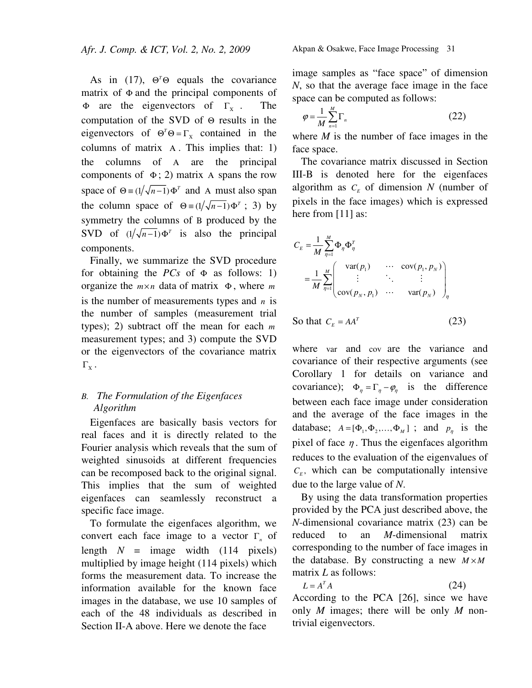As in (17),  $\Theta^T \Theta$  equals the covariance matrix of Φ and the principal components of  $\Phi$  are the eigenvectors of  $\Gamma_{\rm x}$ . . The computation of the SVD of Θ results in the eigenvectors of  $\Theta^T \Theta = \Gamma_X$  contained in the columns of matrix Α . This implies that: 1) the columns of Α are the principal components of  $\Phi$ ; 2) matrix A spans the row space of  $\Theta = (1/\sqrt{n-1}) \Phi^T$  and A must also span the column space of  $\Theta = (1/\sqrt{n-1}) \Phi^T$ ; 3) by symmetry the columns of Β produced by the SVD of  $(1/\sqrt{n-1})\Phi^T$  is also the principal components.

Finally, we summarize the SVD procedure for obtaining the  $PCs$  of  $\Phi$  as follows: 1) organize the  $m \times n$  data of matrix Φ, where *m* is the number of measurements types and *n* is the number of samples (measurement trial types); 2) subtract off the mean for each *m* measurement types; and 3) compute the SVD or the eigenvectors of the covariance matrix  $\Gamma_{\text{x}}$  .

# *B. The Formulation of the Eigenfaces Algorithm*

Eigenfaces are basically basis vectors for real faces and it is directly related to the Fourier analysis which reveals that the sum of weighted sinusoids at different frequencies can be recomposed back to the original signal. This implies that the sum of weighted eigenfaces can seamlessly reconstruct a specific face image.

To formulate the eigenfaces algorithm, we convert each face image to a vector Γ*<sup>n</sup>* of length  $N = \text{image}$  width (114 pixels) multiplied by image height (114 pixels) which forms the measurement data. To increase the information available for the known face images in the database, we use 10 samples of each of the 48 individuals as described in Section II-A above. Here we denote the face

image samples as "face space" of dimension *N*, so that the average face image in the face space can be computed as follows:

$$
\varphi = \frac{1}{M} \sum_{n=1}^{M} \Gamma_n \tag{22}
$$

where *M* is the number of face images in the face space.

The covariance matrix discussed in Section III-B is denoted here for the eigenfaces algorithm as  $C_E$  of dimension  $N$  (number of pixels in the face images) which is expressed here from [11] as:

$$
C_E = \frac{1}{M} \sum_{\eta=1}^{M} \Phi_{\eta} \Phi_{\eta}^T
$$
  
= 
$$
\frac{1}{M} \sum_{\eta=1}^{M} \begin{pmatrix} var(p_1) & \cdots & cov(p_1, p_N) \\ \vdots & \ddots & \vdots \\ cov(p_N, p_1) & \cdots & var(p_N) \end{pmatrix}_{\eta}
$$

So that 
$$
C_E = AA^T
$$
 (23)

where var and cov are the variance and covariance of their respective arguments (see Corollary 1 for details on variance and covariance);  $\Phi_n = \Gamma_n - \varphi_n$  is the difference between each face image under consideration and the average of the face images in the database;  $A = [\Phi_1, \Phi_2, ..., \Phi_M]$ ; and  $p_n$  is the pixel of face  $\eta$ . Thus the eigenfaces algorithm reduces to the evaluation of the eigenvalues of  $C_E$ , which can be computationally intensive due to the large value of *N*.

By using the data transformation properties provided by the PCA just described above, the *N*-dimensional covariance matrix (23) can be reduced to an *M*-dimensional matrix corresponding to the number of face images in the database. By constructing a new  $M \times M$ matrix *L* as follows:

$$
L = A^T A \tag{24}
$$

According to the PCA [26], since we have only *M* images; there will be only *M* nontrivial eigenvectors.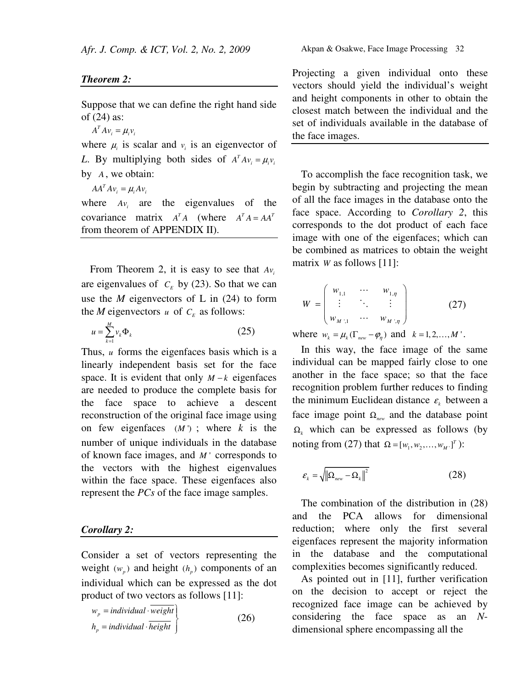### *Theorem 2:*

Suppose that we can define the right hand side of (24) as:

 $A^T A v_i = \mu_i v_i$ 

where  $\mu_i$  is scalar and  $\nu_i$  is an eigenvector of *L*. By multiplying both sides of  $A^T A v_i = \mu_i v_i$ by *A* , we obtain:

 $AA^T A v_i = \mu_i A v_i$ 

where  $Av_i$  are the eigenvalues of the covariance matrix  $A^T A$  (where  $A^T A = A A^T$ from theorem of APPENDIX II).

From Theorem 2, it is easy to see that *Av<sup>i</sup>* are eigenvalues of  $C_E$  by (23). So that we can use the  $M$  eigenvectors of  $L$  in  $(24)$  to form the *M* eigenvectors *u* of  $C_E$  as follows:

$$
u = \sum_{k=1}^{M} v_k \Phi_k \tag{25}
$$

Thus, *u* forms the eigenfaces basis which is a linearly independent basis set for the face space. It is evident that only  $M - k$  eigenfaces are needed to produce the complete basis for the face space to achieve a descent reconstruction of the original face image using on few eigenfaces  $(M')$ ; where *k* is the number of unique individuals in the database of known face images, and *M* ' corresponds to the vectors with the highest eigenvalues within the face space. These eigenfaces also represent the *PCs* of the face image samples.

## *Corollary 2:*

Consider a set of vectors representing the weight  $(w_p)$  and height  $(h_p)$  components of an individual which can be expressed as the dot product of two vectors as follows [11]:

$$
w_p = individual \cdot \overline{weight} h_p = individual \cdot \overline{height}
$$
 (26)

Projecting a given individual onto these vectors should yield the individual's weight and height components in other to obtain the closest match between the individual and the set of individuals available in the database of the face images.

To accomplish the face recognition task, we begin by subtracting and projecting the mean of all the face images in the database onto the face space. According to *Corollary 2*, this corresponds to the dot product of each face image with one of the eigenfaces; which can be combined as matrices to obtain the weight matrix *W* as follows [11]:

$$
W = \begin{pmatrix} w_{1,1} & \cdots & w_{1,\eta} \\ \vdots & \ddots & \vdots \\ w_{M,1} & \cdots & w_{M,\eta} \end{pmatrix}
$$
 (27)

where  $w_k = \mu_k (\Gamma_{new} - \varphi_n)$  and  $k = 1, 2, ..., M'$ .

In this way, the face image of the same individual can be mapped fairly close to one another in the face space; so that the face recognition problem further reduces to finding the minimum Euclidean distance  $\varepsilon_k$  between a face image point Ω*new* and the database point  $\Omega_k$  which can be expressed as follows (by noting from (27) that  $\Omega = [w_1, w_2, ..., w_M]^{T}$  ):

$$
\varepsilon_{k} = \sqrt{\|\Omega_{new} - \Omega_{k}\|^{2}}
$$
 (28)

The combination of the distribution in (28) and the PCA allows for dimensional reduction; where only the first several eigenfaces represent the majority information in the database and the computational complexities becomes significantly reduced.

As pointed out in [11], further verification on the decision to accept or reject the recognized face image can be achieved by considering the face space as an *N*dimensional sphere encompassing all the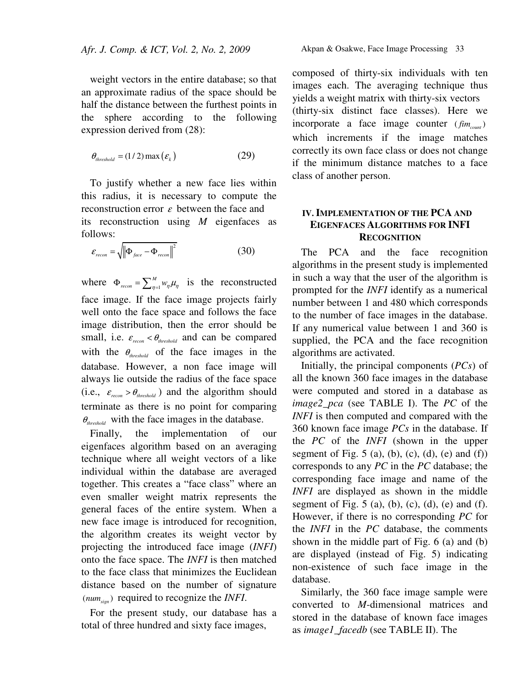weight vectors in the entire database; so that an approximate radius of the space should be half the distance between the furthest points in the sphere according to the following expression derived from (28):

$$
\theta_{threshold} = (1/2) \max\left(\varepsilon_k\right) \tag{29}
$$

To justify whether a new face lies within this radius, it is necessary to compute the reconstruction error  $\varepsilon$  between the face and its reconstruction using *M* eigenfaces as follows:

$$
\varepsilon_{recon} = \sqrt{\left\| \Phi_{face} - \Phi_{recon} \right\|^2}
$$
 (30)

where  $\Phi_{recon} = \sum_{\eta=1}^{M}$ *M*  $\Phi_{recon} = \sum_{\eta=1}^{M} w_{\eta} \mu_{\eta}$  is the reconstructed face image. If the face image projects fairly well onto the face space and follows the face image distribution, then the error should be small, i.e.  $\varepsilon_{recon} < \theta_{threshold}$  and can be compared with the  $\theta_{threshold}$  of the face images in the database. However, a non face image will always lie outside the radius of the face space (i.e.,  $\varepsilon_{recon} > \theta_{threshold}$ ) and the algorithm should terminate as there is no point for comparing  $\theta_{\text{threshold}}$  with the face images in the database.

Finally, the implementation of our eigenfaces algorithm based on an averaging technique where all weight vectors of a like individual within the database are averaged together. This creates a "face class" where an even smaller weight matrix represents the general faces of the entire system. When a new face image is introduced for recognition, the algorithm creates its weight vector by projecting the introduced face image (*INFI*) onto the face space. The *INFI* is then matched to the face class that minimizes the Euclidean distance based on the number of signature  $(num_{\rm sion})$  required to recognize the *INFI*.

For the present study, our database has a total of three hundred and sixty face images,

composed of thirty-six individuals with ten images each. The averaging technique thus yields a weight matrix with thirty-six vectors (thirty-six distinct face classes). Here we incorporate a face image counter  $(fim_{count})$ which increments if the image matches correctly its own face class or does not change if the minimum distance matches to a face class of another person.

## **IV.IMPLEMENTATION OF THE PCA AND EIGENFACES ALGORITHMS FOR INFI RECOGNITION**

The PCA and the face recognition algorithms in the present study is implemented in such a way that the user of the algorithm is prompted for the *INFI* identify as a numerical number between 1 and 480 which corresponds to the number of face images in the database. If any numerical value between 1 and 360 is supplied, the PCA and the face recognition algorithms are activated.

Initially, the principal components (*PCs*) of all the known 360 face images in the database were computed and stored in a database as *image2\_pca* (see TABLE I). The *PC* of the *INFI* is then computed and compared with the 360 known face image *PCs* in the database. If the *PC* of the *INFI* (shown in the upper segment of Fig.  $5$  (a), (b), (c), (d), (e) and (f)) corresponds to any *PC* in the *PC* database; the corresponding face image and name of the *INFI* are displayed as shown in the middle segment of Fig.  $5$  (a), (b), (c), (d), (e) and (f). However, if there is no corresponding *PC* for the *INFI* in the *PC* database, the comments shown in the middle part of Fig. 6 (a) and (b) are displayed (instead of Fig. 5) indicating non-existence of such face image in the database.

Similarly, the 360 face image sample were converted to *M*-dimensional matrices and stored in the database of known face images as *image1\_facedb* (see TABLE II). The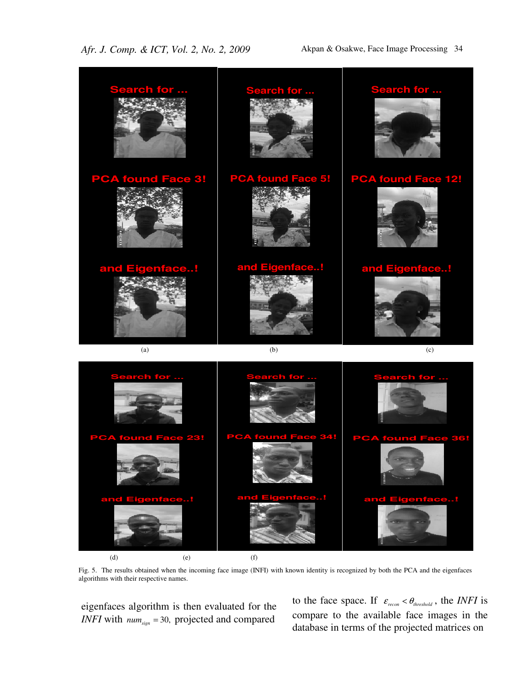

Fig. 5. The results obtained when the incoming face image (INFI) with known identity is recognized by both the PCA and the eigenfaces algorithms with their respective names.

eigenfaces algorithm is then evaluated for the *INFI* with  $num_{sign} = 30$ , projected and compared

to the face space. If  $\varepsilon_{recon} < \theta_{threshold}$ , the *INFI* is compare to the available face images in the database in terms of the projected matrices on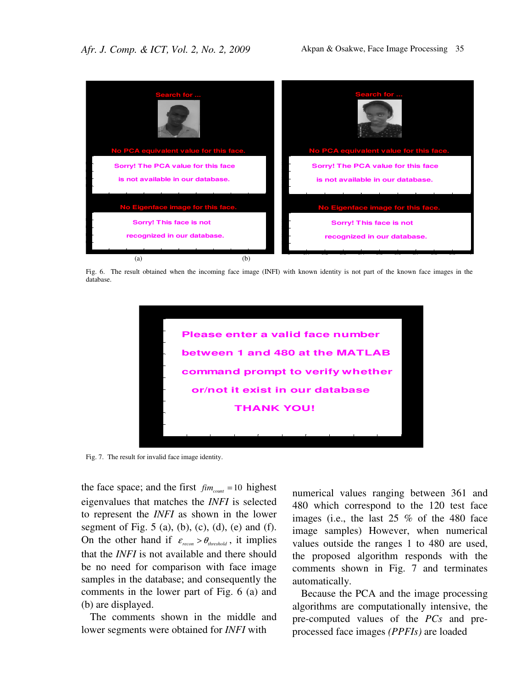

Fig. 6. The result obtained when the incoming face image (INFI) with known identity is not part of the known face images in the database.



Fig. 7. The result for invalid face image identity.

the face space; and the first  $f_{im_{count}} = 10$  highest eigenvalues that matches the *INFI* is selected to represent the *INFI* as shown in the lower segment of Fig.  $5$  (a), (b), (c), (d), (e) and (f). On the other hand if  $\varepsilon_{recon} > \theta_{threshold}$ , it implies that the *INFI* is not available and there should be no need for comparison with face image samples in the database; and consequently the comments in the lower part of Fig. 6 (a) and (b) are displayed.

The comments shown in the middle and lower segments were obtained for *INFI* with

numerical values ranging between 361 and 480 which correspond to the 120 test face images (i.e., the last 25 % of the 480 face image samples) However, when numerical values outside the ranges 1 to 480 are used, the proposed algorithm responds with the comments shown in Fig. 7 and terminates automatically.

Because the PCA and the image processing algorithms are computationally intensive, the pre-computed values of the *PCs* and preprocessed face images *(PPFIs)* are loaded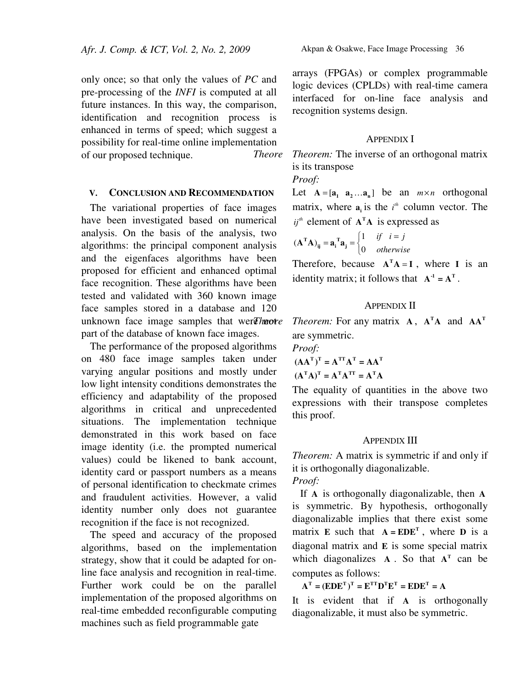only once; so that only the values of *PC* and pre-processing of the *INFI* is computed at all future instances. In this way, the comparison, identification and recognition process is enhanced in terms of speed; which suggest a possibility for real-time online implementation of our proposed technique.

#### **V. CONCLUSION AND RECOMMENDATION**

The variational properties of face images have been investigated based on numerical analysis. On the basis of the analysis, two algorithms: the principal component analysis and the eigenfaces algorithms have been proposed for efficient and enhanced optimal face recognition. These algorithms have been tested and validated with 360 known image face samples stored in a database and 120 unknown face image samples that werther part of the database of known face images.

The performance of the proposed algorithms on 480 face image samples taken under varying angular positions and mostly under low light intensity conditions demonstrates the efficiency and adaptability of the proposed algorithms in critical and unprecedented situations. The implementation technique demonstrated in this work based on face image identity (i.e. the prompted numerical values) could be likened to bank account, identity card or passport numbers as a means of personal identification to checkmate crimes and fraudulent activities. However, a valid identity number only does not guarantee recognition if the face is not recognized.

The speed and accuracy of the proposed algorithms, based on the implementation strategy, show that it could be adapted for online face analysis and recognition in real-time. Further work could be on the parallel implementation of the proposed algorithms on real-time embedded reconfigurable computing machines such as field programmable gate

arrays (FPGAs) or complex programmable logic devices (CPLDs) with real-time camera interfaced for on-line face analysis and recognition systems design.

#### APPENDIX I

*Theore Theorem:* The inverse of an orthogonal matrix is its transpose

*Proof:* 

Let  $A = [a_1 \ a_2 \dots a_n]$  be an  $m \times n$  orthogonal matrix, where  $a_i$  is the  $i^h$  column vector. The  $i j<sup>th</sup>$  element of  $A<sup>T</sup>A$  is expressed as

$$
(\mathbf{A}^{\mathbf{T}}\mathbf{A})_{ij} = \mathbf{a}_i^{\mathbf{T}}\mathbf{a}_j = \begin{cases} 1 & \text{if } i = j \\ 0 & \text{otherwise} \end{cases}
$$

Therefore, because  $A^T A = I$ , where I is an identity matrix; it follows that  $A^{-1} = A^{T}$ .

### APPENDIX II

*Theorem:* **For any matrix <b>A**, **A**<sup>T</sup>**A** and **AA**<sup>T</sup> are symmetric.

*Proof:* 

$$
(\mathbf{A}\mathbf{A}^{\mathrm{T}})^{\mathrm{T}} = \mathbf{A}^{\mathrm{T}\mathrm{T}}\mathbf{A}^{\mathrm{T}} = \mathbf{A}\mathbf{A}^{\mathrm{T}}
$$

$$
(\mathbf{A}^{\mathrm{T}}\mathbf{A})^{\mathrm{T}} = \mathbf{A}^{\mathrm{T}}\mathbf{A}^{\mathrm{T}\mathrm{T}} = \mathbf{A}^{\mathrm{T}}\mathbf{A}
$$

The equality of quantities in the above two expressions with their transpose completes this proof.

#### APPENDIX III

*Theorem:* A matrix is symmetric if and only if it is orthogonally diagonalizable. *Proof:* 

If **A** is orthogonally diagonalizable, then **A** is symmetric. By hypothesis, orthogonally diagonalizable implies that there exist some matrix **E** such that  $A = EDE^{T}$ , where **D** is a diagonal matrix and **E** is some special matrix which diagonalizes  $A$ . So that  $A<sup>T</sup>$  can be computes as follows:

 $A<sup>T</sup> = (EDE<sup>T</sup>)<sup>T</sup> = E<sup>TT</sup>D<sup>T</sup>E<sup>T</sup> = EDE<sup>T</sup> = A$ 

It is evident that if **A** is orthogonally diagonalizable, it must also be symmetric.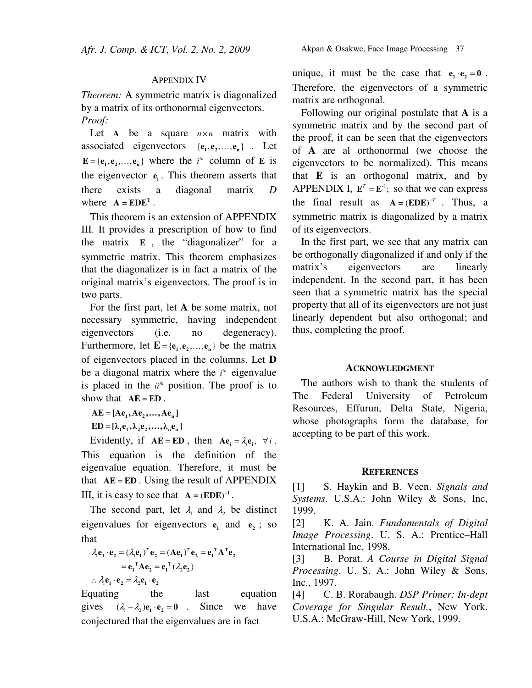## APPENDIX IV

*Theorem:* A symmetric matrix is diagonalized by a matrix of its orthonormal eigenvectors. *Proof:* 

Let A be a square  $n \times n$  matrix with associated eigenvectors  ${e_1, e_2, ..., e_n}$ . Let  $E = {e_1, e_2, ..., e_n}$  where the *i*<sup>th</sup> column of **E** is the eigenvector  $\mathbf{e}_i$ . This theorem asserts that there exists a diagonal matrix *D* where  $A = EDE^{T}$ .

This theorem is an extension of APPENDIX III. It provides a prescription of how to find the matrix **E** , the "diagonalizer" for a symmetric matrix. This theorem emphasizes that the diagonalizer is in fact a matrix of the original matrix's eigenvectors. The proof is in two parts.

For the first part, let **A** be some matrix, not necessary symmetric, having independent eigenvectors (i.e. no degeneracy). Furthermore, let  $\mathbf{E} = \{\mathbf{e}_1, \mathbf{e}_2, \dots, \mathbf{e}_n\}$  be the matrix of eigenvectors placed in the columns. Let **D** be a diagonal matrix where the  $i<sup>th</sup>$  eigenvalue is placed in the  $ii<sup>th</sup>$  position. The proof is to show that  $AE = ED$ .

 $AE = [Ae_1, Ae_2, ..., Ae_n]$  $ED = [\lambda_1 e_1, \lambda_2 e_2, \dots, \lambda_n e_n]$ 

Evidently, if  $AE = ED$ , then  $Ae_i = \lambda_i e_i$ ,  $\forall i$ . This equation is the definition of the eigenvalue equation. Therefore, it must be that  $AE = ED$ . Using the result of APPENDIX III, it is easy to see that  $A = (EDE)^{-1}$ .

The second part, let  $\lambda_1$  and  $\lambda_2$  be distinct eigenvalues for eigenvectors  $e_1$  and  $e_2$ ; so that

$$
\lambda_1 \mathbf{e}_1 \cdot \mathbf{e}_2 = (\lambda_1 \mathbf{e}_1)^T \mathbf{e}_2 = (\mathbf{A} \mathbf{e}_1)^T \mathbf{e}_2 = \mathbf{e}_1^T \mathbf{A}^T \mathbf{e}_2
$$
  
=  $\mathbf{e}_1^T \mathbf{A} \mathbf{e}_2 = \mathbf{e}_1^T (\lambda_2 \mathbf{e}_2)$   

$$
\therefore \lambda_1 \mathbf{e}_1 \cdot \mathbf{e}_2 = \lambda_2 \mathbf{e}_1 \cdot \mathbf{e}_2
$$

Equating the last equation gives  $(\lambda_1 - \lambda_2)$ **e**<sub>1</sub> · **e**<sub>2</sub> = **0** . Since we have conjectured that the eigenvalues are in fact

unique, it must be the case that  $\mathbf{e}_1 \cdot \mathbf{e}_2 = \mathbf{0}$ . Therefore, the eigenvectors of a symmetric matrix are orthogonal.

Following our original postulate that **A** is a symmetric matrix and by the second part of the proof, it can be seen that the eigenvectors of **A** are al orthonormal (we choose the eigenvectors to be normalized). This means that **E** is an orthogonal matrix, and by APPENDIX I,  $\mathbf{E}^T = \mathbf{E}^{-1}$ ; so that we can express the final result as  $A = (EDE)^{-T}$ . Thus, a symmetric matrix is diagonalized by a matrix of its eigenvectors.

In the first part, we see that any matrix can be orthogonally diagonalized if and only if the matrix's eigenvectors are linearly independent. In the second part, it has been seen that a symmetric matrix has the special property that all of its eigenvectors are not just linearly dependent but also orthogonal; and thus, completing the proof.

#### **ACKNOWLEDGMENT**

The authors wish to thank the students of The Federal University of Petroleum Resources, Effurun, Delta State, Nigeria, whose photographs form the database, for accepting to be part of this work.

#### **REFERENCES**

[1] S. Haykin and B. Veen. *Signals and Systems*. U.S.A.: John Wiley & Sons, Inc, 1999.

[2] K. A. Jain. *Fundamentals of Digital Image Processing*. U. S. A.: Prentice–Hall International Inc, 1998.

[3] B. Porat. *A Course in Digital Signal Processing*. U. S. A.: John Wiley & Sons, Inc., 1997.

[4] C. B. Rorabaugh. *DSP Primer: In-dept Coverage for Singular Result.*, New York. U.S.A.: McGraw-Hill, New York, 1999.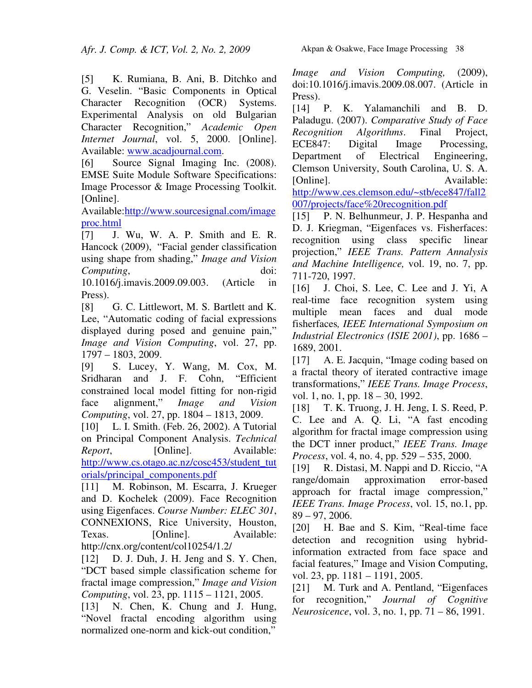[5] K. Rumiana, B. Ani, B. Ditchko and G. Veselin. "Basic Components in Optical Character Recognition (OCR) Systems. Experimental Analysis on old Bulgarian Character Recognition," *Academic Open Internet Journal*, vol. 5, 2000. [Online]. Available: www.acadjournal.com.

[6] Source Signal Imaging Inc. (2008). EMSE Suite Module Software Specifications: Image Processor & Image Processing Toolkit. [Online].

Available:http://www.sourcesignal.com/image proc.html

[7] J. Wu, W. A. P. Smith and E. R. Hancock (2009), "Facial gender classification using shape from shading," *Image and Vision Computing*, doi:

10.1016/j.imavis.2009.09.003. (Article in Press).

[8] G. C. Littlewort, M. S. Bartlett and K. Lee, "Automatic coding of facial expressions displayed during posed and genuine pain," *Image and Vision Computing*, vol. 27, pp. 1797 – 1803, 2009.

[9] S. Lucey, Y. Wang, M. Cox, M. Sridharan and J. F. Cohn, "Efficient constrained local model fitting for non-rigid face alignment," *Image and Vision Computing*, vol. 27, pp. 1804 – 1813, 2009.

[10] L. I. Smith. (Feb. 26, 2002). A Tutorial on Principal Component Analysis. *Technical Report*, [Online]. Available: http://www.cs.otago.ac.nz/cosc453/student\_tut orials/principal\_components.pdf

[11] M. Robinson, M. Escarra, J. Krueger and D. Kochelek (2009). Face Recognition using Eigenfaces. *Course Number: ELEC 301*, CONNEXIONS, Rice University, Houston, Texas. [Online]. Available: http://cnx.org/content/col10254/1.2/

[12] D. J. Duh, J. H. Jeng and S. Y. Chen, "DCT based simple classification scheme for fractal image compression," *Image and Vision Computing*, vol. 23, pp. 1115 – 1121, 2005.

[13] N. Chen, K. Chung and J. Hung, "Novel fractal encoding algorithm using normalized one-norm and kick-out condition,"

*Image and Vision Computing,* (2009), doi:10.1016/j.imavis.2009.08.007. (Article in Press).

[14] P. K. Yalamanchili and B. D. Paladugu. (2007). *Comparative Study of Face Recognition Algorithms*. Final Project, ECE847: Digital Image Processing, Department of Electrical Engineering, Clemson University, South Carolina, U. S. A. [Online]. Available: http://www.ces.clemson.edu/~stb/ece847/fall2 007/projects/face%20recognition.pdf

[15] P. N. Belhunmeur, J. P. Hespanha and D. J. Kriegman, "Eigenfaces vs. Fisherfaces: recognition using class specific linear projection," *IEEE Trans. Pattern Annalysis and Machine Intelligence,* vol. 19, no. 7, pp. 711-720, 1997.

[16] J. Choi, S. Lee, C. Lee and J. Yi, A real-time face recognition system using multiple mean faces and dual mode fisherfaces*, IEEE International Symposium on Industrial Electronics (ISIE 2001)*, pp. 1686 – 1689, 2001.

[17] A. E. Jacquin, "Image coding based on a fractal theory of iterated contractive image transformations," *IEEE Trans. Image Process*, vol. 1, no. 1, pp. 18 – 30, 1992.

[18] T. K. Truong, J. H. Jeng, I. S. Reed, P. C. Lee and A. Q. Li, "A fast encoding algorithm for fractal image compression using the DCT inner product," *IEEE Trans. Image Process*, vol. 4, no. 4, pp. 529 – 535, 2000.

[19] R. Distasi, M. Nappi and D. Riccio, "A range/domain approximation error-based approach for fractal image compression," *IEEE Trans. Image Process*, vol. 15, no.1, pp. 89 – 97, 2006.

[20] H. Bae and S. Kim, "Real-time face detection and recognition using hybridinformation extracted from face space and facial features," Image and Vision Computing, vol. 23, pp. 1181 – 1191, 2005.

[21] M. Turk and A. Pentland, "Eigenfaces" for recognition," *Journal of Cognitive Neurosicence*, vol. 3, no. 1, pp. 71 – 86, 1991.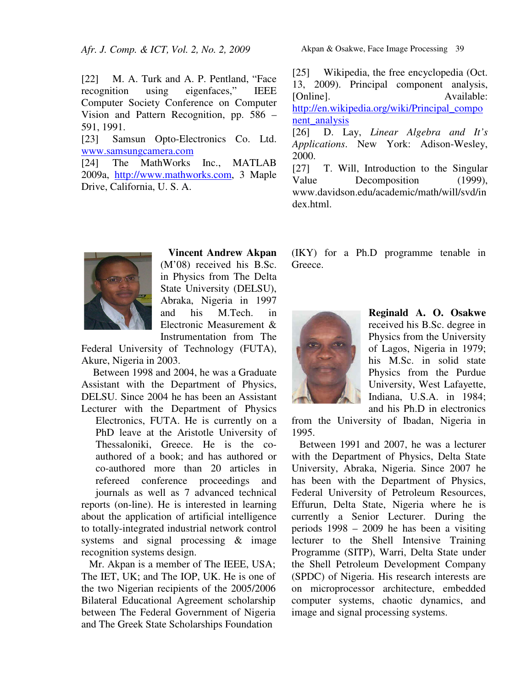*Afr. J. Comp. & ICT, Vol. 2, No. 2, 2009* 

[22] M. A. Turk and A. P. Pentland, "Face recognition using eigenfaces," IEEE Computer Society Conference on Computer Vision and Pattern Recognition, pp. 586 – 591, 1991.

[23] Samsun Opto-Electronics Co. Ltd. www.samsungcamera.com

[24] The MathWorks Inc., MATLAB 2009a, http://www.mathworks.com, 3 Maple Drive, California, U. S. A.

> **Vincent Andrew Akpan** (M'08) received his B.Sc. in Physics from The Delta State University (DELSU), Abraka, Nigeria in 1997 and his M.Tech. in Electronic Measurement & Instrumentation from The

Federal University of Technology (FUTA), Akure, Nigeria in 2003.

Between 1998 and 2004, he was a Graduate Assistant with the Department of Physics, DELSU. Since 2004 he has been an Assistant Lecturer with the Department of Physics Electronics, FUTA. He is currently on a PhD leave at the Aristotle University of Thessaloniki, Greece. He is the coauthored of a book; and has authored or co-authored more than 20 articles in refereed conference proceedings and journals as well as 7 advanced technical reports (on-line). He is interested in learning about the application of artificial intelligence to totally-integrated industrial network control systems and signal processing  $\&$  image recognition systems design.

Mr. Akpan is a member of The IEEE, USA; The IET, UK; and The IOP, UK. He is one of the two Nigerian recipients of the 2005/2006 Bilateral Educational Agreement scholarship between The Federal Government of Nigeria and The Greek State Scholarships Foundation

Akpan & Osakwe, Face Image Processing39

[25] Wikipedia, the free encyclopedia (Oct. 13, 2009). Principal component analysis, [Online]. Available: http://en.wikipedia.org/wiki/Principal\_compo nent\_analysis [26] D. Lay, *Linear Algebra and It's Applications*. New York: Adison-Wesley, 2000. [27] T. Will, Introduction to the Singular Value Decomposition (1999), www.davidson.edu/academic/math/will/svd/in

(IKY) for a Ph.D programme tenable in Greece.



dex.html.

**Reginald A. O. Osakwe** received his B.Sc. degree in Physics from the University of Lagos, Nigeria in 1979; his M.Sc. in solid state Physics from the Purdue University, West Lafayette, Indiana, U.S.A. in 1984; and his Ph.D in electronics

from the University of Ibadan, Nigeria in 1995.

Between 1991 and 2007, he was a lecturer with the Department of Physics, Delta State University, Abraka, Nigeria. Since 2007 he has been with the Department of Physics, Federal University of Petroleum Resources, Effurun, Delta State, Nigeria where he is currently a Senior Lecturer. During the periods 1998 – 2009 he has been a visiting lecturer to the Shell Intensive Training Programme (SITP), Warri, Delta State under the Shell Petroleum Development Company (SPDC) of Nigeria. His research interests are on microprocessor architecture, embedded computer systems, chaotic dynamics, and image and signal processing systems.